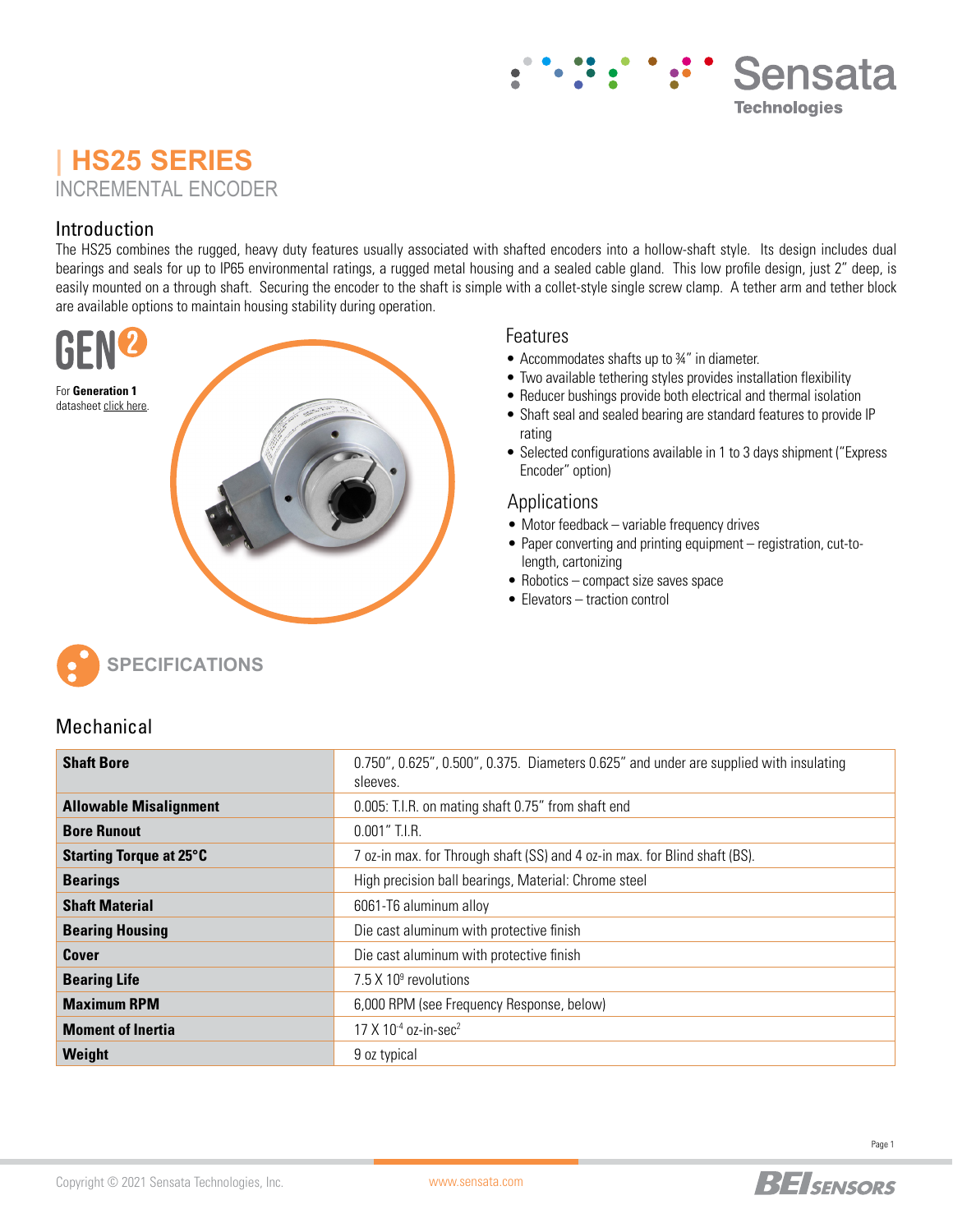## Sensata **Technologies**

## **| HS25 SERIES** INCREMENTAL ENCODER

### Introduction

The HS25 combines the rugged, heavy duty features usually associated with shafted encoders into a hollow-shaft style. Its design includes dual bearings and seals for up to IP65 environmental ratings, a rugged metal housing and a sealed cable gland. This low profile design, just 2" deep, is easily mounted on a through shaft. Securing the encoder to the shaft is simple with a collet-style single screw clamp. A tether arm and tether block are available options to maintain housing stability during operation.



### **Features**

- Accommodates shafts up to ¾" in diameter.
- Two available tethering styles provides installation flexibility
- Reducer bushings provide both electrical and thermal isolation
- Shaft seal and sealed bearing are standard features to provide IP rating
- Selected configurations available in 1 to 3 days shipment ("Express Encoder" option)

#### Applications

- Motor feedback variable frequency drives
- Paper converting and printing equipment registration, cut-tolength, cartonizing
- Robotics compact size saves space
- Elevators traction control



### Mechanical

| <b>Shaft Bore</b>              | 0.750", 0.625", 0.500", 0.375. Diameters 0.625" and under are supplied with insulating<br>sleeves. |
|--------------------------------|----------------------------------------------------------------------------------------------------|
| <b>Allowable Misalignment</b>  | 0.005: T.I.R. on mating shaft 0.75" from shaft end                                                 |
| <b>Bore Runout</b>             | $0.001''$ T.I.R.                                                                                   |
| <b>Starting Torque at 25°C</b> | 7 oz-in max. for Through shaft (SS) and 4 oz-in max. for Blind shaft (BS).                         |
| <b>Bearings</b>                | High precision ball bearings, Material: Chrome steel                                               |
| <b>Shaft Material</b>          | 6061-T6 aluminum alloy                                                                             |
| <b>Bearing Housing</b>         | Die cast aluminum with protective finish                                                           |
| Cover                          | Die cast aluminum with protective finish                                                           |
| <b>Bearing Life</b>            | 7.5 $\times$ 10 $\textdegree$ revolutions                                                          |
| <b>Maximum RPM</b>             | 6,000 RPM (see Frequency Response, below)                                                          |
| <b>Moment of Inertia</b>       | 17 X 10 <sup>-4</sup> oz-in-sec <sup>2</sup>                                                       |
| Weight                         | 9 oz typical                                                                                       |

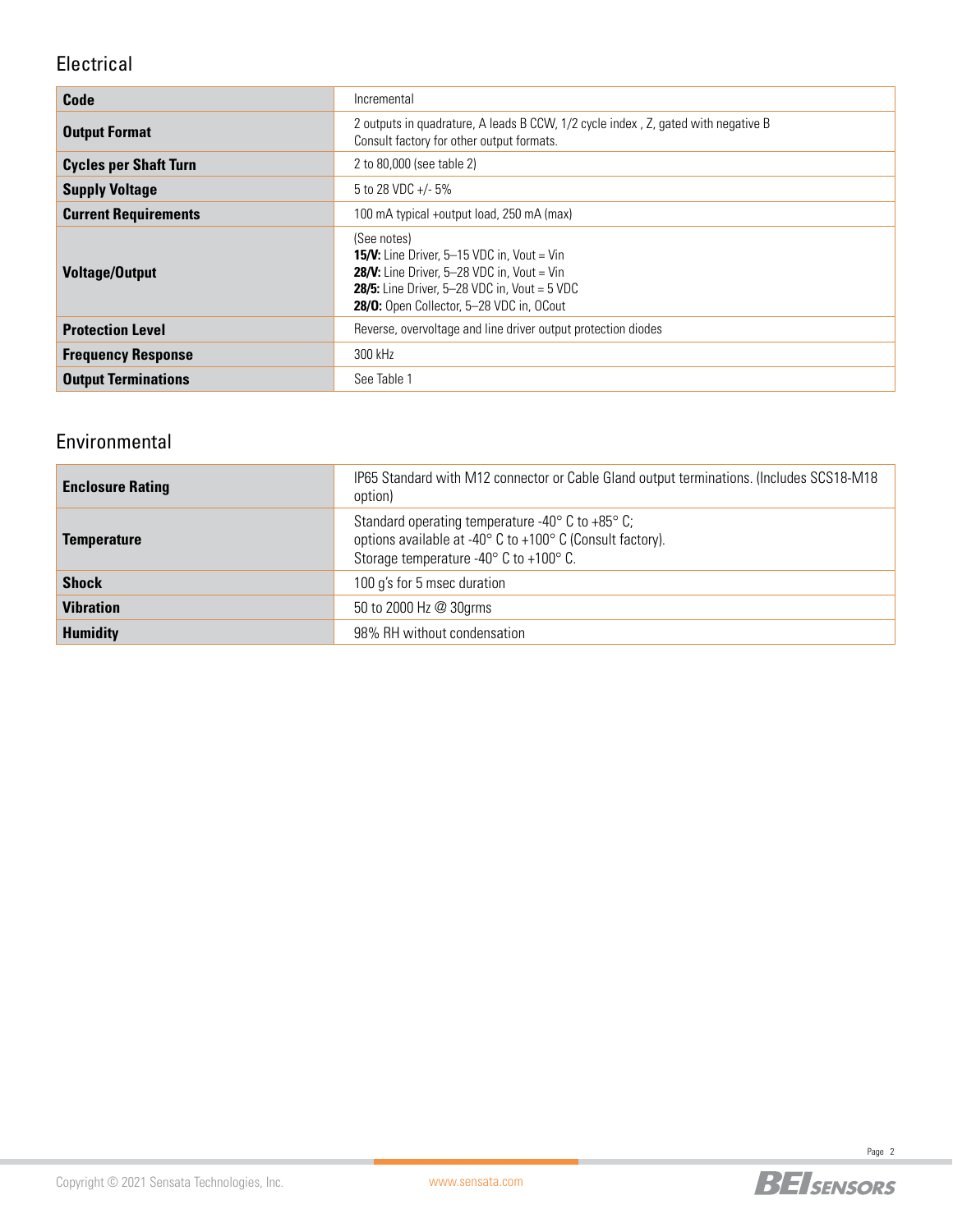### Electrical

| Code                         | Incremental                                                                                                                                                                                                                             |
|------------------------------|-----------------------------------------------------------------------------------------------------------------------------------------------------------------------------------------------------------------------------------------|
| <b>Output Format</b>         | 2 outputs in quadrature, A leads B CCW, 1/2 cycle index, Z, gated with negative B<br>Consult factory for other output formats.                                                                                                          |
| <b>Cycles per Shaft Turn</b> | 2 to 80,000 (see table 2)                                                                                                                                                                                                               |
| <b>Supply Voltage</b>        | 5 to 28 VDC +/- 5%                                                                                                                                                                                                                      |
| <b>Current Requirements</b>  | 100 mA typical +output load, 250 mA (max)                                                                                                                                                                                               |
| <b>Voltage/Output</b>        | (See notes)<br><b>15/V:</b> Line Driver, $5-15$ VDC in, Vout = Vin<br><b>28/V:</b> Line Driver, $5-28$ VDC in, Vout = Vin<br><b>28/5:</b> Line Driver, $5-28$ VDC in, Vout = $5$ VDC<br><b>28/0:</b> Open Collector, 5-28 VDC in, OCout |
| <b>Protection Level</b>      | Reverse, overvoltage and line driver output protection diodes                                                                                                                                                                           |
| <b>Frequency Response</b>    | 300 kHz                                                                                                                                                                                                                                 |
| <b>Output Terminations</b>   | See Table 1                                                                                                                                                                                                                             |

### Environmental

| <b>Enclosure Rating</b> | IP65 Standard with M12 connector or Cable Gland output terminations. (Includes SCS18-M18<br>option)                                                                                         |
|-------------------------|---------------------------------------------------------------------------------------------------------------------------------------------------------------------------------------------|
| <b>Temperature</b>      | Standard operating temperature -40 $\degree$ C to +85 $\degree$ C;<br>options available at -40° C to +100° C (Consult factory).<br>Storage temperature -40 $\degree$ C to +100 $\degree$ C. |
| <b>Shock</b>            | 100 g's for 5 msec duration                                                                                                                                                                 |
| <b>Vibration</b>        | 50 to 2000 Hz @ 30grms                                                                                                                                                                      |
| <b>Humidity</b>         | 98% RH without condensation                                                                                                                                                                 |

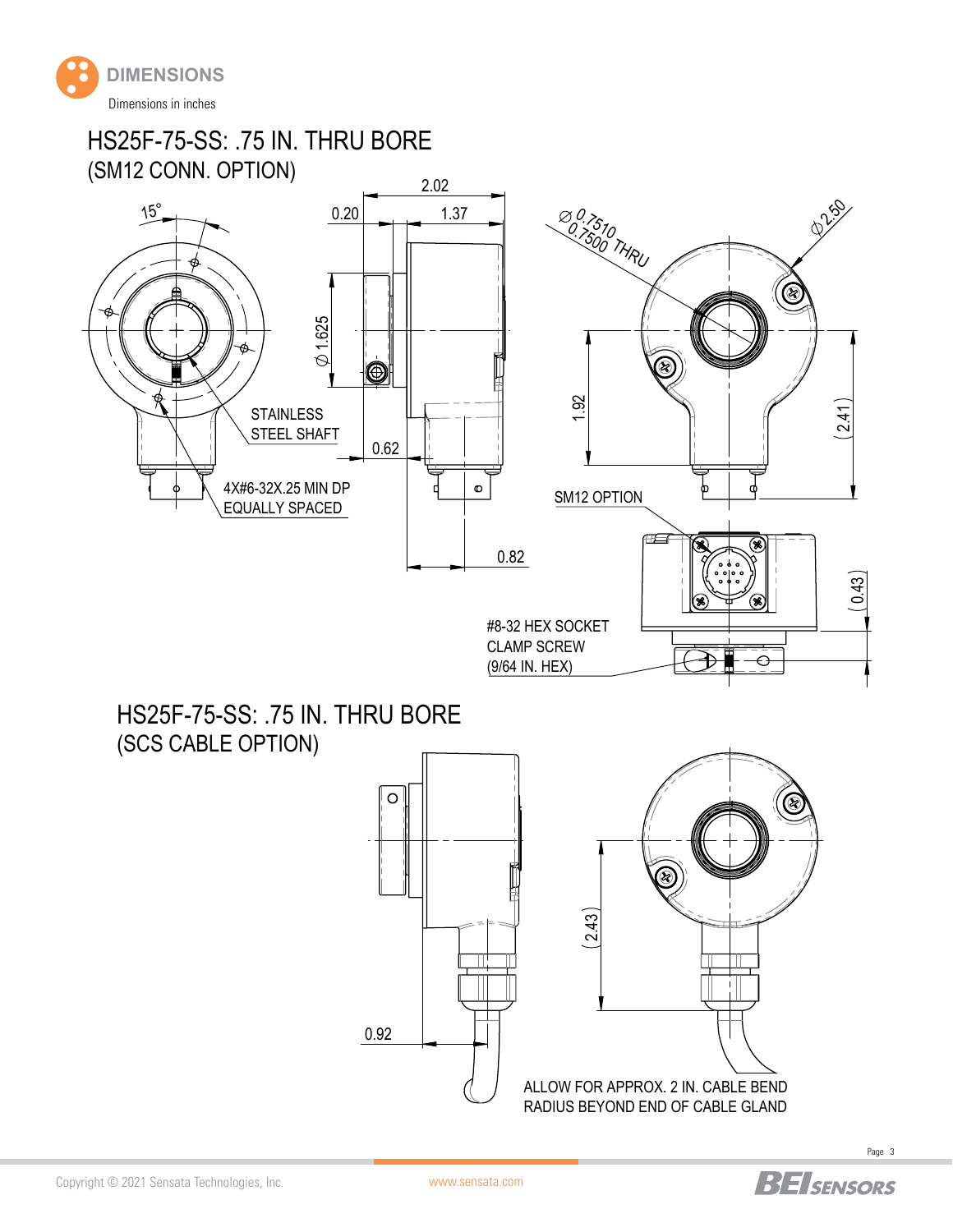

HS25F-75-SS: .75 IN. THRU BORE (SM12 CONN. OPTION)



HS25F-75-SS: .75 IN. THRU BORE (SCS CABLE OPTION)





Page 3

Copyright © 2021 Sensata Technologies, Inc.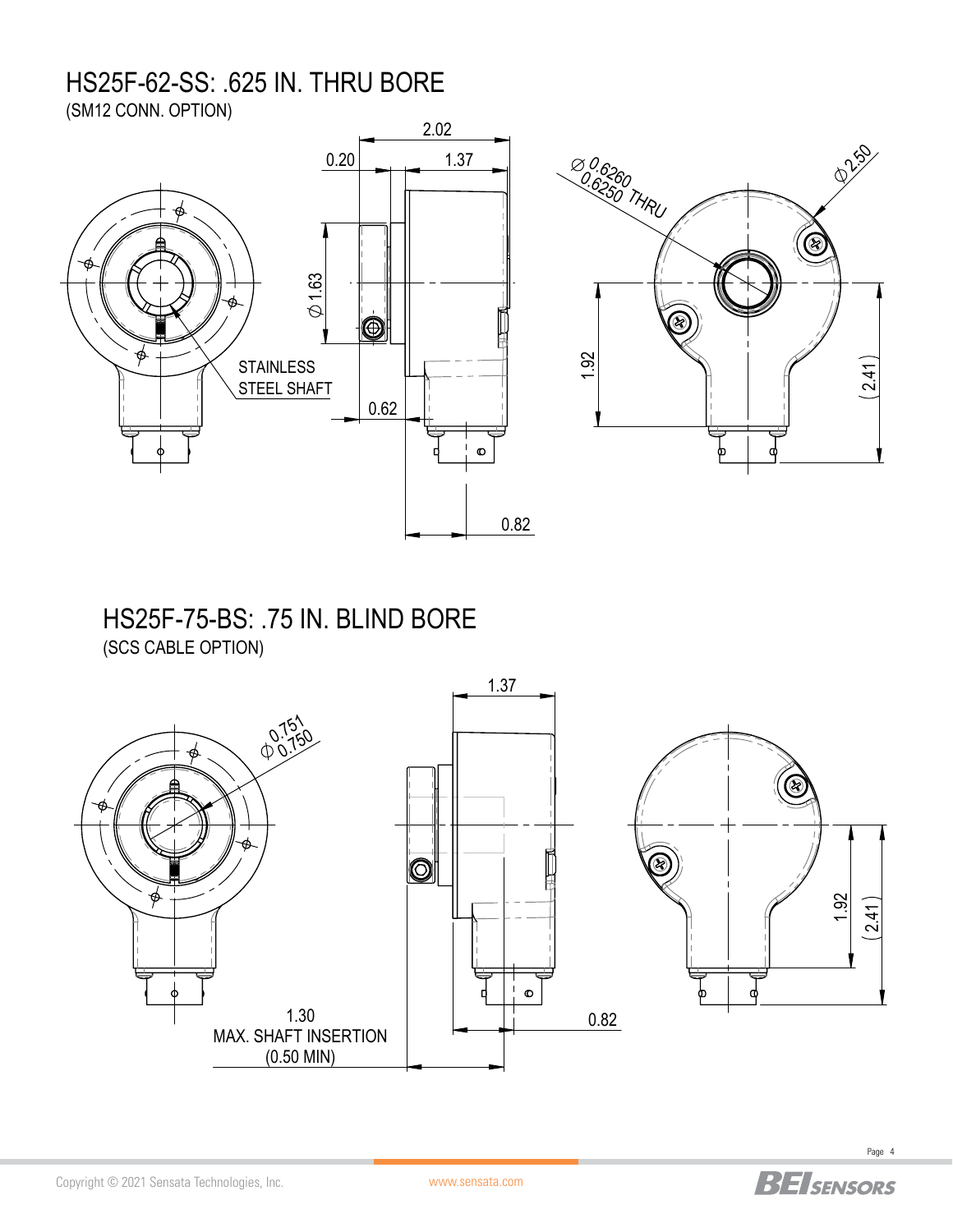# HS25F-62-SS: .625 IN. THRU BORE

(SM12 CONN. OPTION)



### HS25F-75-BS: .75 IN. BLIND BORE (SCS CABLE OPTION)

 1.37 0.751  $0.750$  $\overline{\textcircled{\circ}}$  $\phi$  1.92  $(2.41)$  $\bullet$ 1.30 0.82 MAX. SHAFT INSERTION (0.50 MIN)

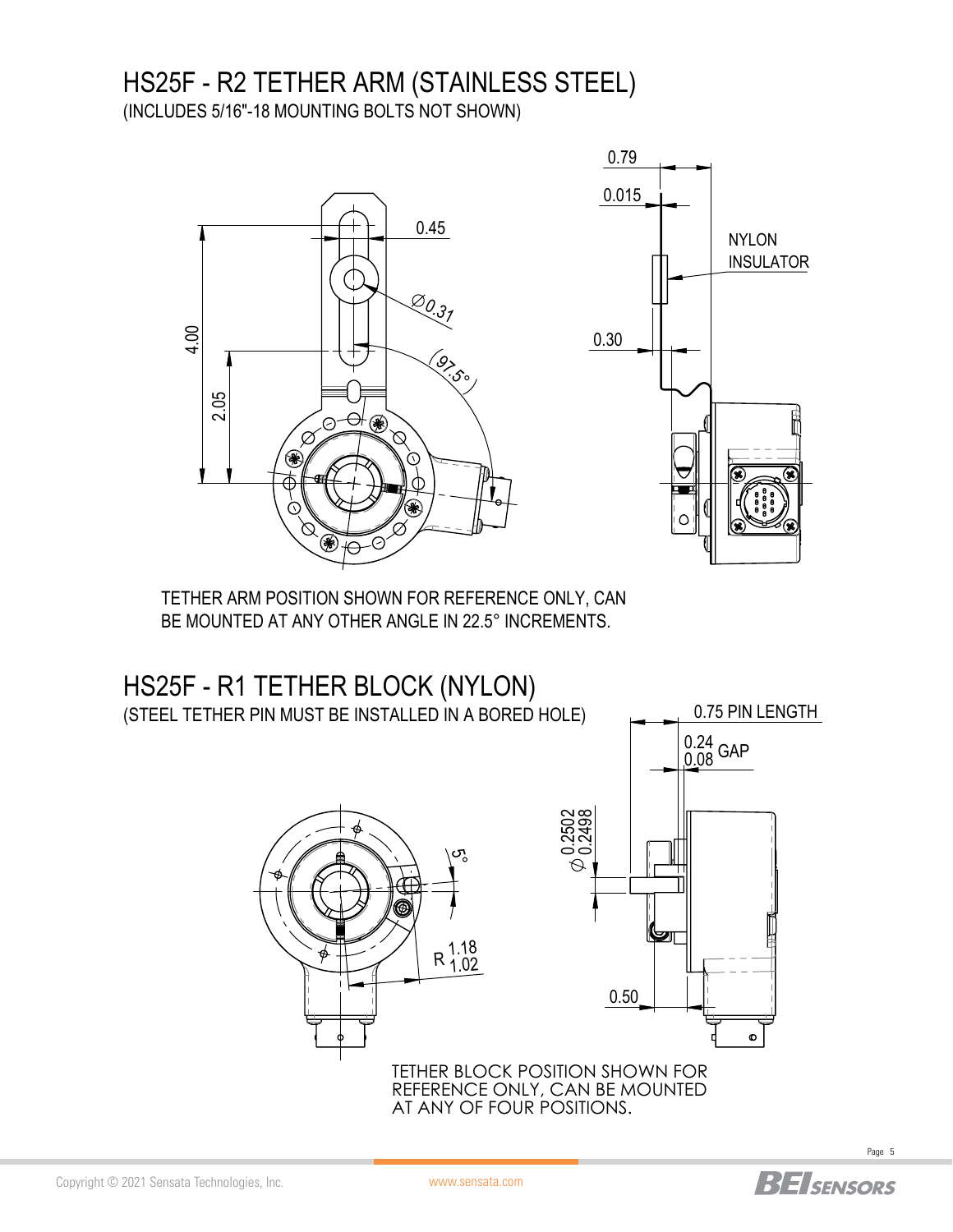## HS25F - R2 TETHER ARM (STAINLESS STEEL) (INCLUDES 5/16"-18 MOUNTING BOLTS NOT SHOWN)



TETHER ARM POSITION SHOWN FOR REFERENCE ONLY, CAN BE MOUNTED AT ANY OTHER ANGLE IN 22.5° INCREMENTS.



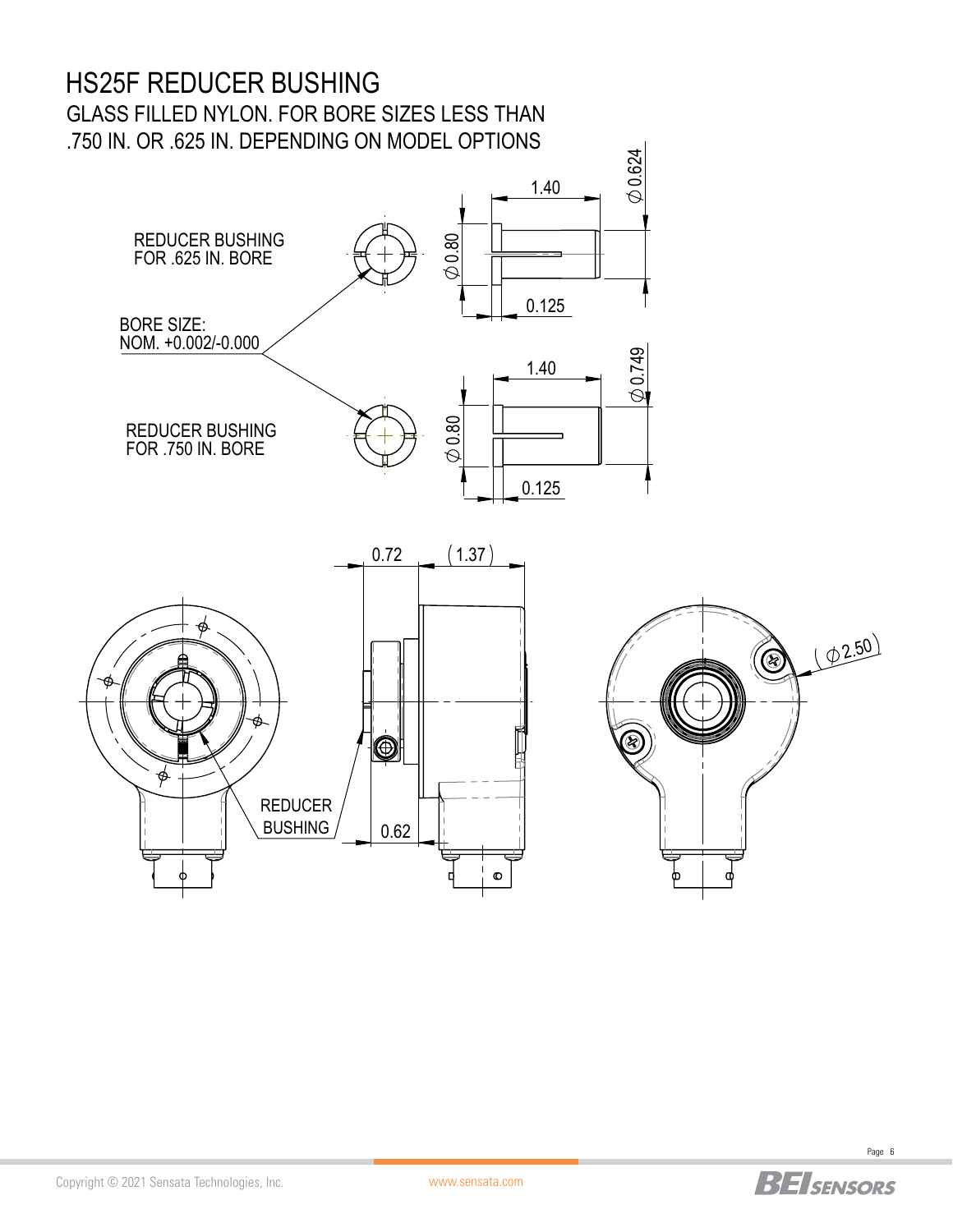# HS25F REDUCER BUSHING

GLASS FILLED NYLON. FOR BORE SIZES LESS THAN .750 IN. OR .625 IN. DEPENDING ON MODEL OPTIONS







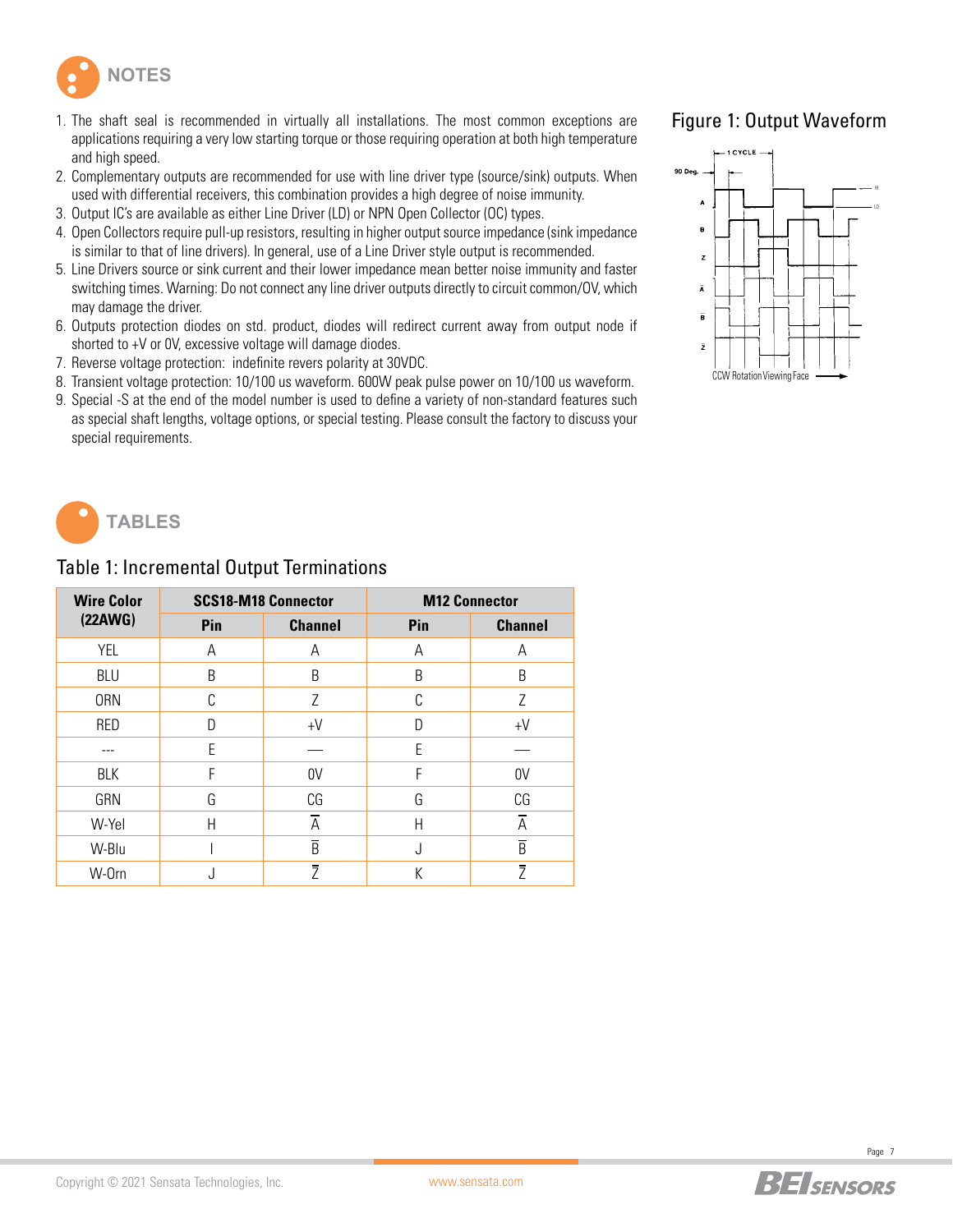

- 1. The shaft seal is recommended in virtually all installations. The most common exceptions are applications requiring a very low starting torque or those requiring operation at both high temperature and high speed.
- 2. Complementary outputs are recommended for use with line driver type (source/sink) outputs. When used with differential receivers, this combination provides a high degree of noise immunity.
- 3. Output IC's are available as either Line Driver (LD) or NPN Open Collector (OC) types.
- 4. Open Collectors require pull-up resistors, resulting in higher output source impedance (sink impedance is similar to that of line drivers). In general, use of a Line Driver style output is recommended.
- 5. Line Drivers source or sink current and their lower impedance mean better noise immunity and faster switching times. Warning: Do not connect any line driver outputs directly to circuit common/OV, which may damage the driver.
- 6. Outputs protection diodes on std. product, diodes will redirect current away from output node if shorted to +V or 0V, excessive voltage will damage diodes.
- 7. Reverse voltage protection: indefinite revers polarity at 30VDC.
- 8. Transient voltage protection: 10/100 us waveform. 600W peak pulse power on 10/100 us waveform.
- 9. Special -S at the end of the model number is used to define a variety of non-standard features such as special shaft lengths, voltage options, or special testing. Please consult the factory to discuss your special requirements.

### Figure 1: Output Waveform





### Table 1: Incremental Output Terminations

| <b>Wire Color</b> |     | <b>SCS18-M18 Connector</b> | <b>M12 Connector</b> |                |  |  |  |
|-------------------|-----|----------------------------|----------------------|----------------|--|--|--|
| (22AWG)           | Pin | <b>Channel</b>             | Pin                  | <b>Channel</b> |  |  |  |
| YEL               | А   | А                          | А                    | A              |  |  |  |
| <b>BLU</b>        | B   | B                          | B                    | B              |  |  |  |
| <b>ORN</b>        | C   | Ζ                          | C                    | Ζ              |  |  |  |
| <b>RED</b>        | D   | $+V$                       | D                    | $+V$           |  |  |  |
|                   | E   |                            | E                    |                |  |  |  |
| BLK               | F   | 0V                         | F                    | 0V             |  |  |  |
| GRN               | G   | CG                         | G                    | CG             |  |  |  |
| W-Yel             | H   | Ā                          | H                    | $\overline{A}$ |  |  |  |
| W-Blu             |     | $\overline{B}$             | J                    | $\overline{B}$ |  |  |  |
| W-Orn             | J   | Ž                          | K                    | $\overline{Z}$ |  |  |  |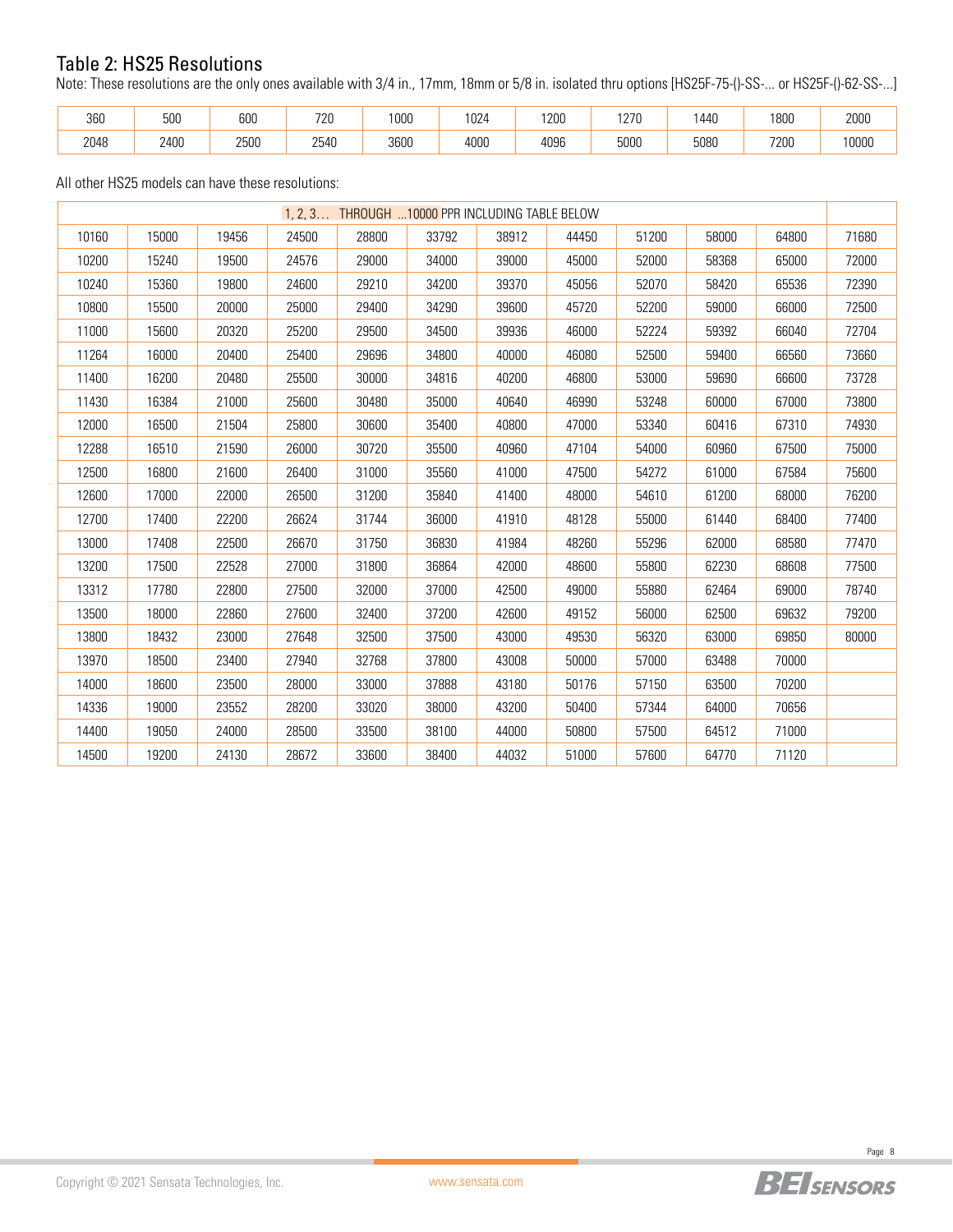### Table 2: HS25 Resolutions

Note: These resolutions are the only ones available with 3/4 in., 17mm, 18mm or 5/8 in. isolated thru options [HS25F-75-()-SS-... or HS25F-()-62-SS-...]

| 360  | r oc<br>יש<br>่วบเ    | 000<br>uuu | $\neg$                          | 0.00<br>uuu | $\sim$<br>UZ" | 1200          | 1070<br>$\sim$ | 440       | 1800        | 2000  |
|------|-----------------------|------------|---------------------------------|-------------|---------------|---------------|----------------|-----------|-------------|-------|
| 2048 | 2400<br>$\sim$ $\sim$ | 2500       | $0-10$<br>254U<br>$\sim$ $\sim$ | 3600        | 4000<br>.     | 4096<br>$  -$ | 5000           | 5080<br>. | 7200<br>∠∪u | 10000 |

All other HS25 models can have these resolutions:

| 1, 2, 3 THROUGH 10000 PPR INCLUDING TABLE BELOW |       |       |       |       |       |       |       |       |       |       |       |
|-------------------------------------------------|-------|-------|-------|-------|-------|-------|-------|-------|-------|-------|-------|
| 10160                                           | 15000 | 19456 | 24500 | 28800 | 33792 | 38912 | 44450 | 51200 | 58000 | 64800 | 71680 |
| 10200                                           | 15240 | 19500 | 24576 | 29000 | 34000 | 39000 | 45000 | 52000 | 58368 | 65000 | 72000 |
| 10240                                           | 15360 | 19800 | 24600 | 29210 | 34200 | 39370 | 45056 | 52070 | 58420 | 65536 | 72390 |
| 10800                                           | 15500 | 20000 | 25000 | 29400 | 34290 | 39600 | 45720 | 52200 | 59000 | 66000 | 72500 |
| 11000                                           | 15600 | 20320 | 25200 | 29500 | 34500 | 39936 | 46000 | 52224 | 59392 | 66040 | 72704 |
| 11264                                           | 16000 | 20400 | 25400 | 29696 | 34800 | 40000 | 46080 | 52500 | 59400 | 66560 | 73660 |
| 11400                                           | 16200 | 20480 | 25500 | 30000 | 34816 | 40200 | 46800 | 53000 | 59690 | 66600 | 73728 |
| 11430                                           | 16384 | 21000 | 25600 | 30480 | 35000 | 40640 | 46990 | 53248 | 60000 | 67000 | 73800 |
| 12000                                           | 16500 | 21504 | 25800 | 30600 | 35400 | 40800 | 47000 | 53340 | 60416 | 67310 | 74930 |
| 12288                                           | 16510 | 21590 | 26000 | 30720 | 35500 | 40960 | 47104 | 54000 | 60960 | 67500 | 75000 |
| 12500                                           | 16800 | 21600 | 26400 | 31000 | 35560 | 41000 | 47500 | 54272 | 61000 | 67584 | 75600 |
| 12600                                           | 17000 | 22000 | 26500 | 31200 | 35840 | 41400 | 48000 | 54610 | 61200 | 68000 | 76200 |
| 12700                                           | 17400 | 22200 | 26624 | 31744 | 36000 | 41910 | 48128 | 55000 | 61440 | 68400 | 77400 |
| 13000                                           | 17408 | 22500 | 26670 | 31750 | 36830 | 41984 | 48260 | 55296 | 62000 | 68580 | 77470 |
| 13200                                           | 17500 | 22528 | 27000 | 31800 | 36864 | 42000 | 48600 | 55800 | 62230 | 68608 | 77500 |
| 13312                                           | 17780 | 22800 | 27500 | 32000 | 37000 | 42500 | 49000 | 55880 | 62464 | 69000 | 78740 |
| 13500                                           | 18000 | 22860 | 27600 | 32400 | 37200 | 42600 | 49152 | 56000 | 62500 | 69632 | 79200 |
| 13800                                           | 18432 | 23000 | 27648 | 32500 | 37500 | 43000 | 49530 | 56320 | 63000 | 69850 | 80000 |
| 13970                                           | 18500 | 23400 | 27940 | 32768 | 37800 | 43008 | 50000 | 57000 | 63488 | 70000 |       |
| 14000                                           | 18600 | 23500 | 28000 | 33000 | 37888 | 43180 | 50176 | 57150 | 63500 | 70200 |       |
| 14336                                           | 19000 | 23552 | 28200 | 33020 | 38000 | 43200 | 50400 | 57344 | 64000 | 70656 |       |
| 14400                                           | 19050 | 24000 | 28500 | 33500 | 38100 | 44000 | 50800 | 57500 | 64512 | 71000 |       |
| 14500                                           | 19200 | 24130 | 28672 | 33600 | 38400 | 44032 | 51000 | 57600 | 64770 | 71120 |       |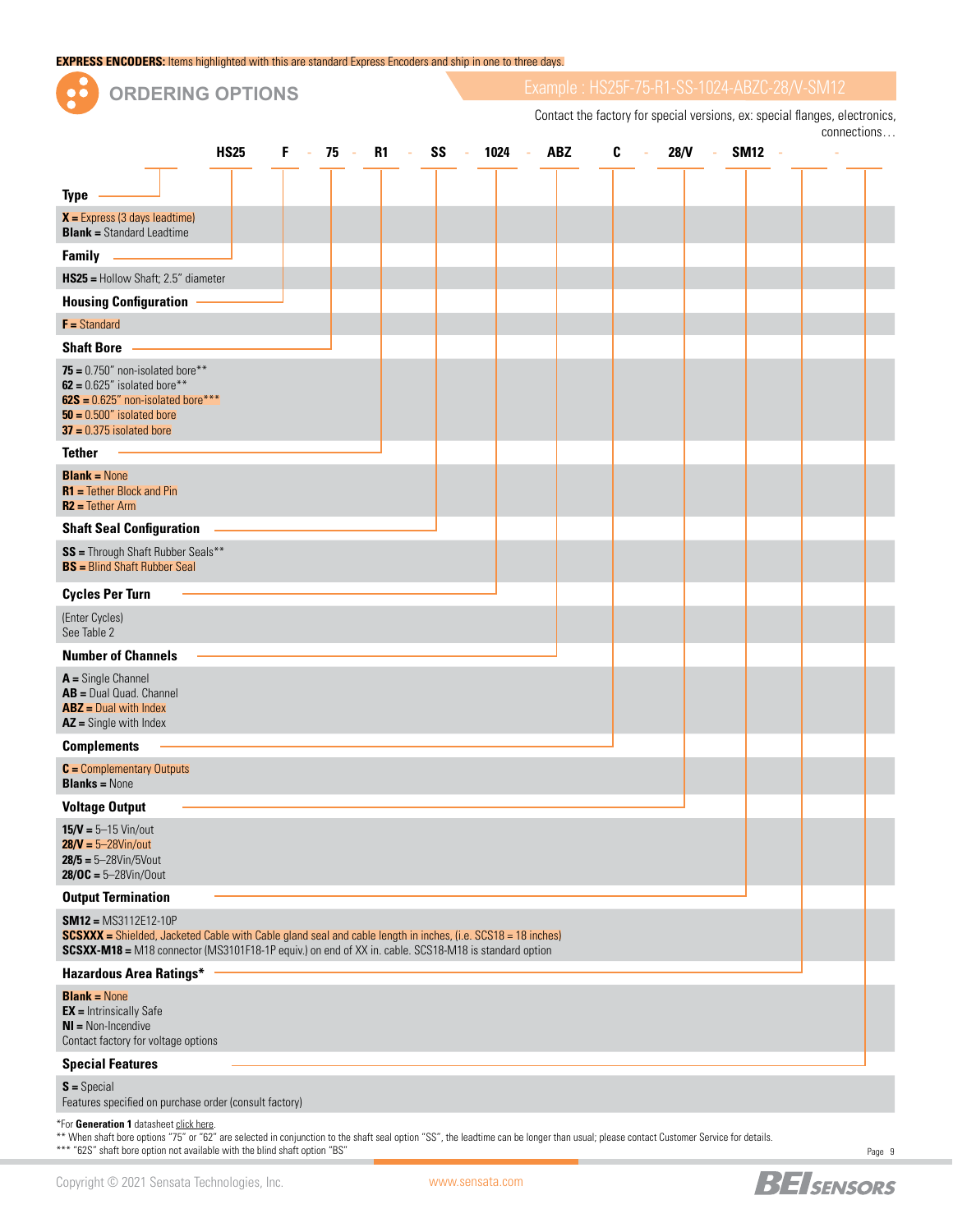| <b>EXPRESS ENCODERS:</b> Items highlighted with this are standard Express Encoders and ship in one to three days.                                                                                                                                     |             |    |         |  |                                                                                                                            |  |      |        |            |   |    |      |        |        |  |  |             |
|-------------------------------------------------------------------------------------------------------------------------------------------------------------------------------------------------------------------------------------------------------|-------------|----|---------|--|----------------------------------------------------------------------------------------------------------------------------|--|------|--------|------------|---|----|------|--------|--------|--|--|-------------|
| <b>ORDERING OPTIONS</b>                                                                                                                                                                                                                               |             |    |         |  | Example: HS25F-75-R1-SS-1024-ABZC-28/V-SM12<br>Contact the factory for special versions, ex: special flanges, electronics, |  |      |        |            |   |    |      |        |        |  |  |             |
|                                                                                                                                                                                                                                                       |             |    |         |  |                                                                                                                            |  |      |        |            |   |    |      |        |        |  |  | connections |
|                                                                                                                                                                                                                                                       | <b>HS25</b> | F. | $-75 -$ |  | R1 - SS -                                                                                                                  |  | 1024 | $\sim$ | <b>ABZ</b> | C | à. | 28/N | $\sim$ | SM12 - |  |  |             |
| <b>Type</b>                                                                                                                                                                                                                                           |             |    |         |  |                                                                                                                            |  |      |        |            |   |    |      |        |        |  |  |             |
| $X =$ Express (3 days leadtime)<br><b>Blank = Standard Leadtime</b>                                                                                                                                                                                   |             |    |         |  |                                                                                                                            |  |      |        |            |   |    |      |        |        |  |  |             |
| Family —                                                                                                                                                                                                                                              |             |    |         |  |                                                                                                                            |  |      |        |            |   |    |      |        |        |  |  |             |
| HS25 = Hollow Shaft; 2.5" diameter                                                                                                                                                                                                                    |             |    |         |  |                                                                                                                            |  |      |        |            |   |    |      |        |        |  |  |             |
| <b>Housing Configuration</b>                                                                                                                                                                                                                          |             |    |         |  |                                                                                                                            |  |      |        |            |   |    |      |        |        |  |  |             |
| $F =$ Standard                                                                                                                                                                                                                                        |             |    |         |  |                                                                                                                            |  |      |        |            |   |    |      |        |        |  |  |             |
| <b>Shaft Bore</b>                                                                                                                                                                                                                                     |             |    |         |  |                                                                                                                            |  |      |        |            |   |    |      |        |        |  |  |             |
| 75 = $0.750$ " non-isolated bore**<br>$62 = 0.625''$ isolated bore**<br>$62S = 0.625$ " non-isolated bore***<br>$50 = 0.500$ " isolated bore<br>$37 = 0.375$ isolated bore                                                                            |             |    |         |  |                                                                                                                            |  |      |        |            |   |    |      |        |        |  |  |             |
| <b>Tether</b>                                                                                                                                                                                                                                         |             |    |         |  |                                                                                                                            |  |      |        |            |   |    |      |        |        |  |  |             |
| <b>Blank = None</b><br>$R1$ = Tether Block and Pin<br>$R2$ = Tether Arm                                                                                                                                                                               |             |    |         |  |                                                                                                                            |  |      |        |            |   |    |      |        |        |  |  |             |
| <b>Shaft Seal Configuration</b>                                                                                                                                                                                                                       |             |    |         |  |                                                                                                                            |  |      |        |            |   |    |      |        |        |  |  |             |
| SS = Through Shaft Rubber Seals**<br><b>BS</b> = Blind Shaft Rubber Seal                                                                                                                                                                              |             |    |         |  |                                                                                                                            |  |      |        |            |   |    |      |        |        |  |  |             |
| <b>Cycles Per Turn</b>                                                                                                                                                                                                                                |             |    |         |  |                                                                                                                            |  |      |        |            |   |    |      |        |        |  |  |             |
| (Enter Cycles)<br>See Table 2                                                                                                                                                                                                                         |             |    |         |  |                                                                                                                            |  |      |        |            |   |    |      |        |        |  |  |             |
| <b>Number of Channels</b>                                                                                                                                                                                                                             |             |    |         |  |                                                                                                                            |  |      |        |            |   |    |      |        |        |  |  |             |
| $A =$ Single Channel<br>AB = Dual Quad. Channel<br>$ABZ = Dual with Index$<br>$AZ =$ Single with Index                                                                                                                                                |             |    |         |  |                                                                                                                            |  |      |        |            |   |    |      |        |        |  |  |             |
| <b>Complements</b>                                                                                                                                                                                                                                    |             |    |         |  |                                                                                                                            |  |      |        |            |   |    |      |        |        |  |  |             |
| $C =$ Complementary Outputs<br><b>Blanks = None</b>                                                                                                                                                                                                   |             |    |         |  |                                                                                                                            |  |      |        |            |   |    |      |        |        |  |  |             |
| <b>Voltage Output</b>                                                                                                                                                                                                                                 |             |    |         |  |                                                                                                                            |  |      |        |            |   |    |      |        |        |  |  |             |
| $15/V = 5 - 15$ Vin/out<br>$28/V = 5 - 28V$ in/out<br>$28/5 = 5 - 28V$ in/5Vout<br>$28/0C = 5 - 28V$ in/Oout                                                                                                                                          |             |    |         |  |                                                                                                                            |  |      |        |            |   |    |      |        |        |  |  |             |
| <b>Output Termination</b>                                                                                                                                                                                                                             |             |    |         |  |                                                                                                                            |  |      |        |            |   |    |      |        |        |  |  |             |
| $SM12 = MS3112E12-10P$<br><b>SCSXXX</b> = Shielded, Jacketed Cable with Cable gland seal and cable length in inches, (i.e. SCS18 = 18 inches)<br>SCSXX-M18 = M18 connector (MS3101F18-1P equiv.) on end of XX in. cable. SCS18-M18 is standard option |             |    |         |  |                                                                                                                            |  |      |        |            |   |    |      |        |        |  |  |             |
| <b>Hazardous Area Ratings*</b>                                                                                                                                                                                                                        |             |    |         |  |                                                                                                                            |  |      |        |            |   |    |      |        |        |  |  |             |
| <b>Blank = None</b><br>$EV = Intriational C0$                                                                                                                                                                                                         |             |    |         |  |                                                                                                                            |  |      |        |            |   |    |      |        |        |  |  |             |

**EX =** Intrinsically Safe **NI =** Non-Incendive Contact factory for voltage options

#### **Special Features**

**S =** Special Features specified on purchase order (consult factory)

\*For **Generation 1** datasheet [click here](https://www.sensata.com/sites/default/files/media/documents/2018-05-17/ourproducts_hs25-incremental-optical_datasheet.pdf).

\*\* When shaft bore options "75" or "62" are selected in conjunction to the shaft seal option "SS", the leadtime can be longer than usual; please contact Customer Service for details. \*\*\* "62S" shaft bore option not available with the blind shaft option "BS"

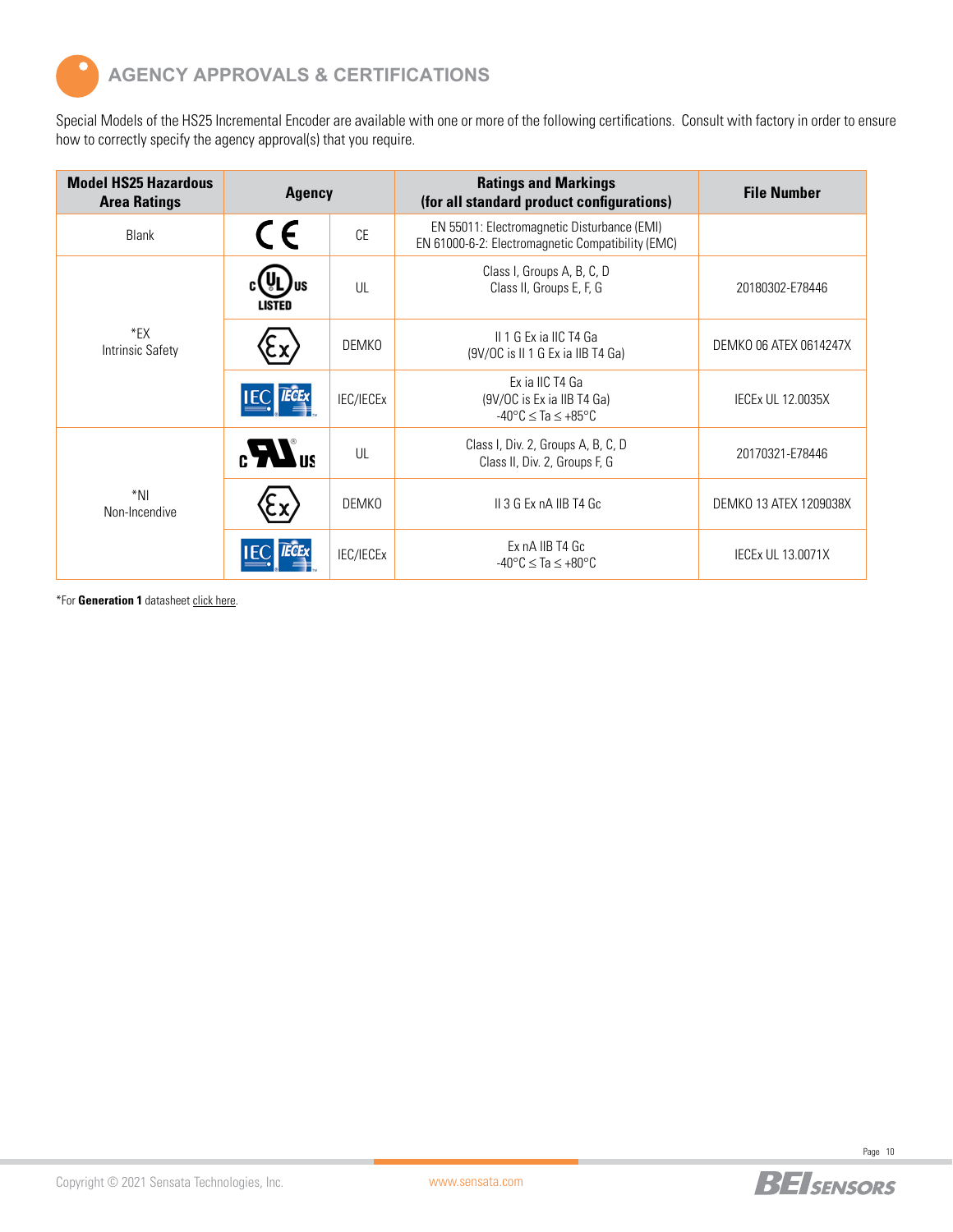

Special Models of the HS25 Incremental Encoder are available with one or more of the following certifications. Consult with factory in order to ensure how to correctly specify the agency approval(s) that you require.

| <b>Model HS25 Hazardous</b><br><b>Area Ratings</b> | <b>Agency</b> |              | <b>Ratings and Markings</b><br>(for all standard product configurations)                         | <b>File Number</b>       |
|----------------------------------------------------|---------------|--------------|--------------------------------------------------------------------------------------------------|--------------------------|
| Blank                                              | CE            | <b>CE</b>    | EN 55011: Electromagnetic Disturbance (EMI)<br>EN 61000-6-2: Electromagnetic Compatibility (EMC) |                          |
|                                                    | LISTED        | UL           | Class I, Groups A, B, C, D<br>Class II, Groups E, F, G                                           | 20180302-E78446          |
| $E^*$ EX<br>Intrinsic Safety                       |               | <b>DEMKO</b> | II 1 G Ex ia IIC T4 Ga<br>(9V/OC is II 1 G Ex ia IIB T4 Ga)                                      | DEMKO 06 ATEX 0614247X   |
|                                                    |               | IEC/IECEx    | Ex ia IIC T4 Ga<br>(9V/OC is Ex ia IIB T4 Ga)<br>$-40^{\circ}$ C $\leq$ Ta $\leq +85^{\circ}$ C  | <b>IECEX UL 12.0035X</b> |
|                                                    |               | UL           | Class I, Div. 2, Groups A, B, C, D<br>Class II, Div. 2, Groups F, G                              | 20170321-E78446          |
| *NI<br>Non-Incendive                               |               | <b>DEMKO</b> | II 3 G Ex nA IIB T4 Gc                                                                           | DEMKO 13 ATEX 1209038X   |
|                                                    |               | IEC/IECEx    | Ex nA IIB T4 Gc<br>$-40^{\circ}$ C $\leq$ Ta $\leq$ +80 $^{\circ}$ C                             | <b>IECEX UL 13.0071X</b> |

\*For **Generation 1** datasheet [click here.](https://www.sensata.com/sites/default/files/media/documents/2018-05-17/ourproducts_hs25-incremental-optical_datasheet.pdf)

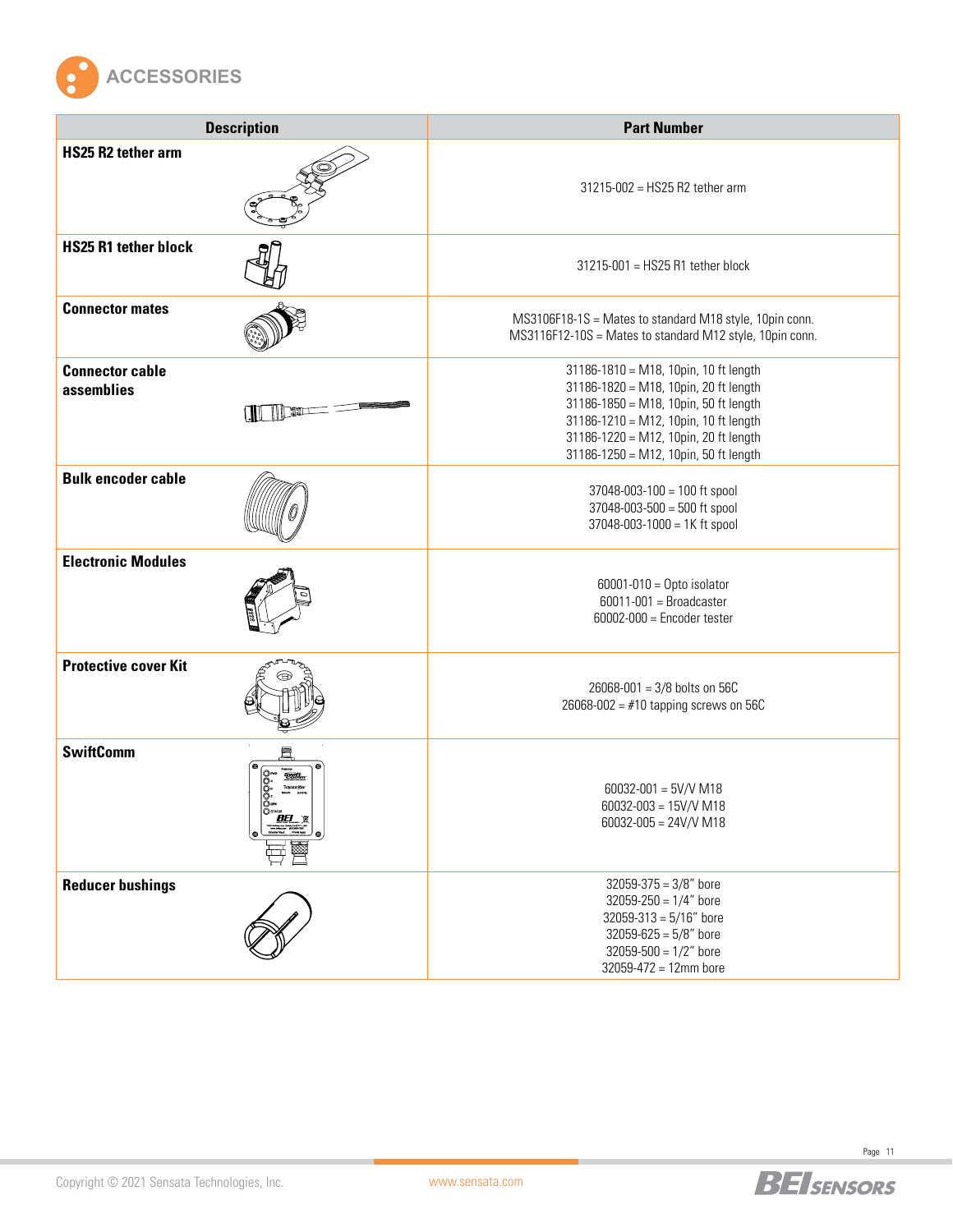

| <b>Description</b>                            | <b>Part Number</b>                                                                                                                                                                                                                                 |  |  |  |  |  |  |
|-----------------------------------------------|----------------------------------------------------------------------------------------------------------------------------------------------------------------------------------------------------------------------------------------------------|--|--|--|--|--|--|
| <b>HS25 R2 tether arm</b>                     | 31215-002 = HS25 R2 tether arm                                                                                                                                                                                                                     |  |  |  |  |  |  |
| <b>HS25 R1 tether block</b>                   | 31215-001 = HS25 R1 tether block                                                                                                                                                                                                                   |  |  |  |  |  |  |
| <b>Connector mates</b>                        | MS3106F18-1S = Mates to standard M18 style, 10pin conn.<br>MS3116F12-10S = Mates to standard M12 style, 10pin conn.                                                                                                                                |  |  |  |  |  |  |
| <b>Connector cable</b><br>assemblies<br>I ALI | 31186-1810 = M18, 10pin, 10 ft length<br>31186-1820 = M18, 10pin, 20 ft length<br>31186-1850 = M18, 10pin, 50 ft length<br>31186-1210 = M12, 10pin, 10 ft length<br>31186-1220 = M12, 10pin, 20 ft length<br>31186-1250 = M12, 10pin, 50 ft length |  |  |  |  |  |  |
| <b>Bulk encoder cable</b>                     | $37048 - 003 - 100 = 100$ ft spool<br>37048-003-500 = 500 ft spool<br>37048-003-1000 = 1K ft spool                                                                                                                                                 |  |  |  |  |  |  |
| <b>Electronic Modules</b>                     | $60001 - 010 =$ Opto isolator<br>$60011 - 001 =$ Broadcaster<br>$60002 - 000 =$ Encoder tester                                                                                                                                                     |  |  |  |  |  |  |
| <b>Protective cover Kit</b>                   | 26068-001 = 3/8 bolts on 56C<br>$26068 - 002 = #10$ tapping screws on 56C                                                                                                                                                                          |  |  |  |  |  |  |
| <b>SwiftComm</b>                              | $60032 - 001 = 5V/V M18$<br>$60032 - 003 = 15V/V M18$<br>$60032 - 005 = 24 \text{V/V}$ M18                                                                                                                                                         |  |  |  |  |  |  |
| <b>Reducer bushings</b>                       | $32059 - 375 = 3/8"$ bore<br>$32059 - 250 = 1/4"$ bore<br>$32059 - 313 = 5/16"$ bore<br>$32059 - 625 = 5/8"$ bore<br>$32059 - 500 = 1/2"$ bore<br>$32059 - 472 = 12$ mm bore                                                                       |  |  |  |  |  |  |